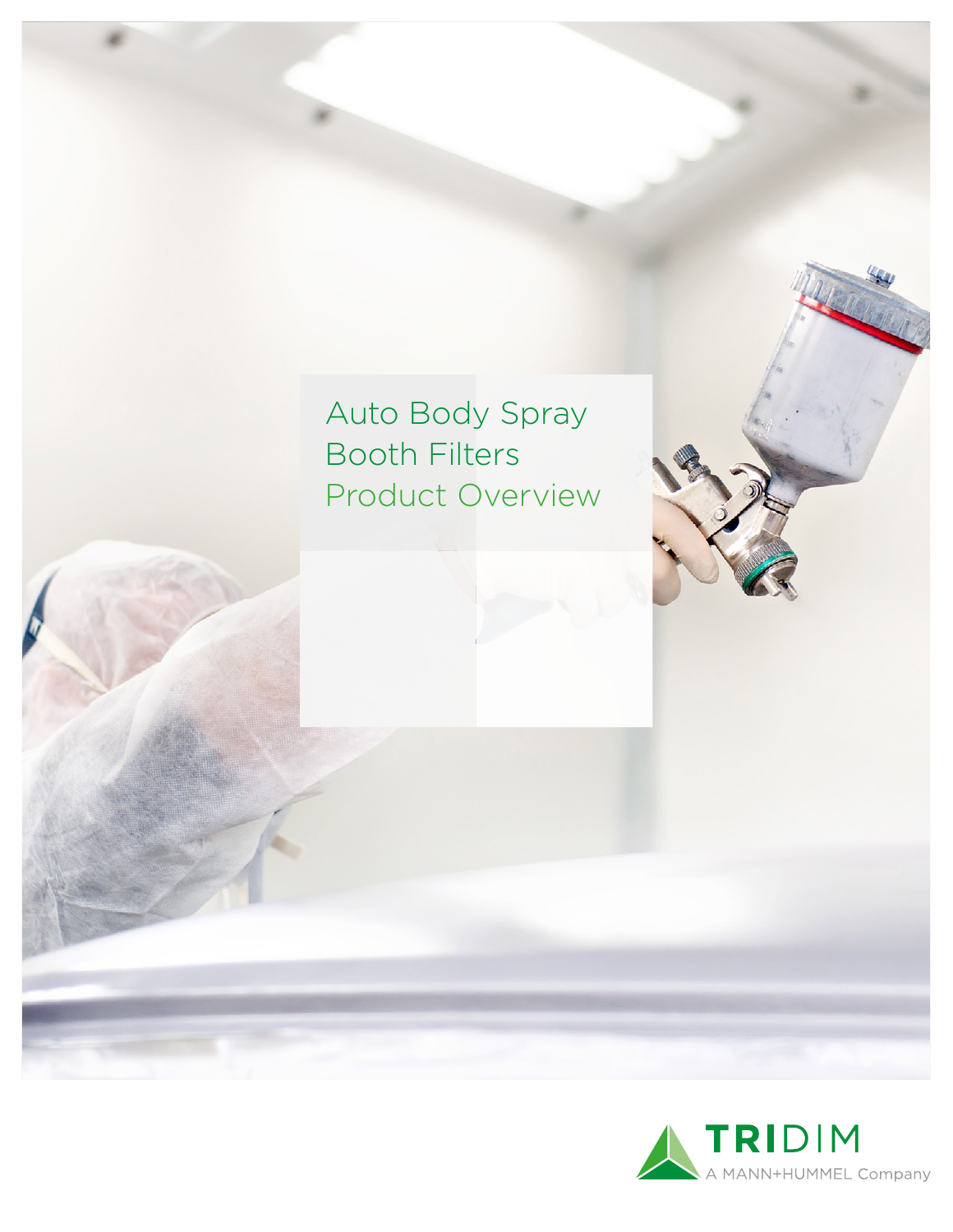Auto Body Spray Booth Filters Product Overview

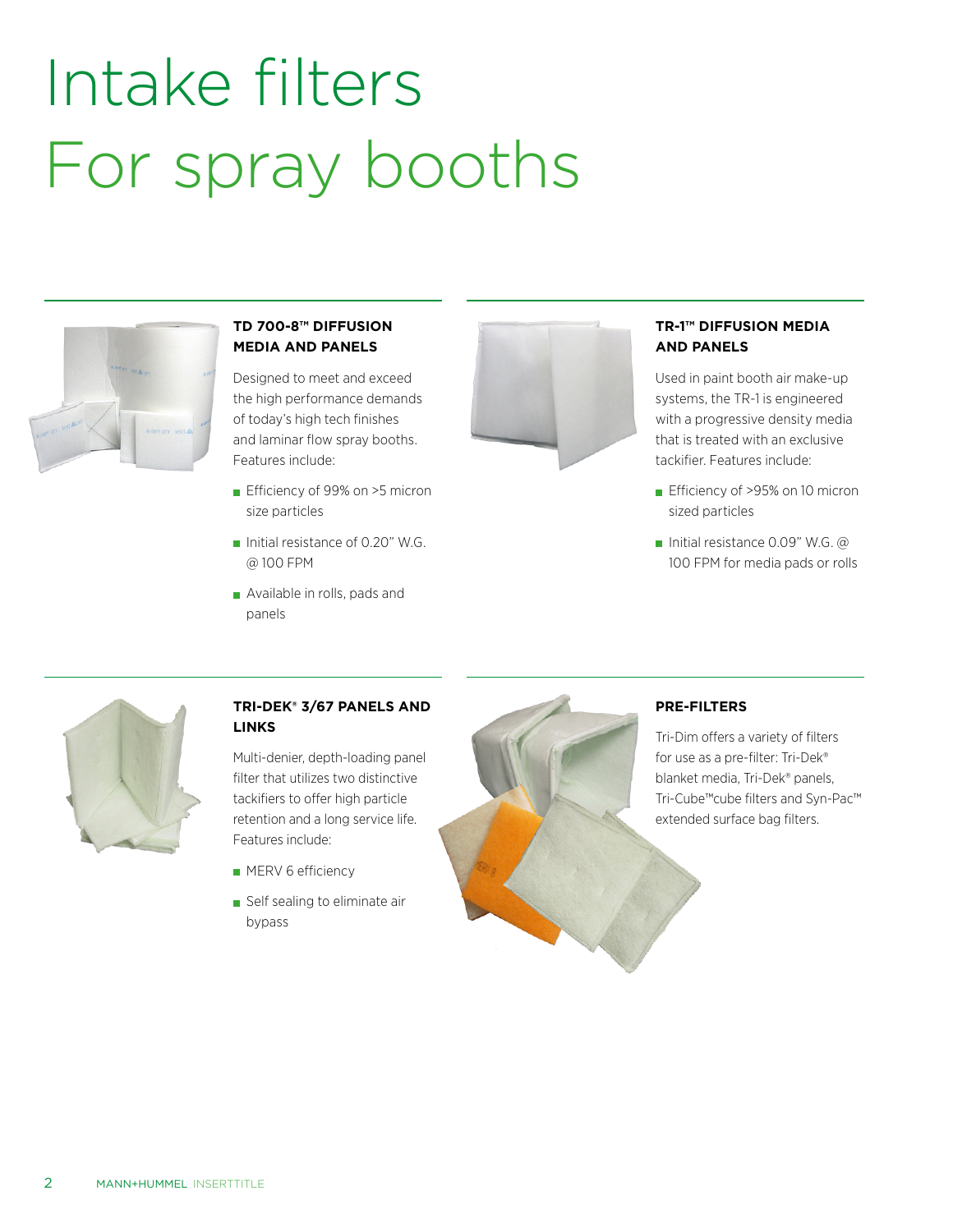# Intake filters For spray booths



# **TD 700-8™ DIFFUSION MEDIA AND PANELS**

Designed to meet and exceed the high performance demands of today's high tech finishes and laminar flow spray booths. Features include:

- **Efficiency of 99% on >5 micron** size particles
- Initial resistance of 0.20" W.G. @ 100 FPM
- Available in rolls, pads and panels



### **TR-1™ DIFFUSION MEDIA AND PANELS**

Used in paint booth air make-up systems, the TR-1 is engineered with a progressive density media that is treated with an exclusive tackifier. Features include:

- **Efficiency of >95% on 10 micron** sized particles
- Initial resistance 0.09" W.G.  $\omega$ 100 FPM for media pads or rolls



### **TRI-DEK® 3/67 PANELS AND LINKS**

Multi-denier, depth-loading panel filter that utilizes two distinctive tackifiers to offer high particle retention and a long service life. Features include:

- **MERV 6 efficiency**
- Self sealing to eliminate air bypass



# **PRE-FILTERS**

Tri-Dim offers a variety of filters for use as a pre-filter: Tri-Dek® blanket media, Tri-Dek® panels, Tri-Cube™cube filters and Syn-Pac™ extended surface bag filters.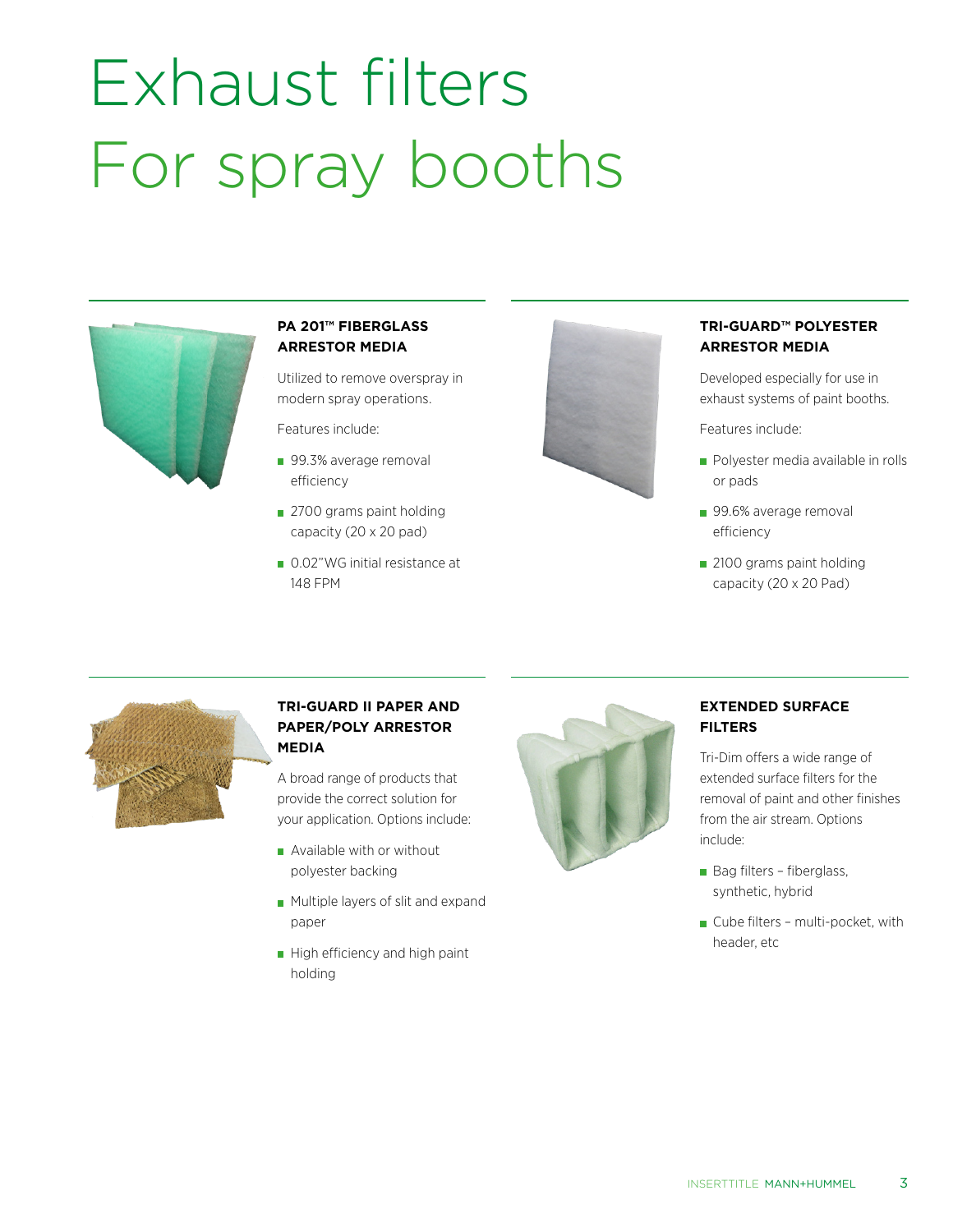# Exhaust filters For spray booths



# **PA 201™ FIBERGLASS ARRESTOR MEDIA**

Utilized to remove overspray in modern spray operations.

Features include:

- 99.3% average removal efficiency
- 2700 grams paint holding capacity (20 x 20 pad)
- 0.02"WG initial resistance at 148 FPM



#### **TRI-GUARD™ POLYESTER ARRESTOR MEDIA**

Developed especially for use in exhaust systems of paint booths.

Features include:

- **Polyester media available in rolls** or pads
- 99.6% average removal efficiency
- 2100 grams paint holding capacity (20 x 20 Pad)



#### **TRI-GUARD II PAPER AND PAPER/POLY ARRESTOR MEDIA**

A broad range of products that provide the correct solution for your application. Options include:

- Available with or without polyester backing
- **Multiple layers of slit and expand** paper
- $\blacksquare$  High efficiency and high paint holding



#### **EXTENDED SURFACE FILTERS**

Tri-Dim offers a wide range of extended surface filters for the removal of paint and other finishes from the air stream. Options include:

- Bag filters fiberglass, synthetic, hybrid
- Cube filters multi-pocket, with header, etc